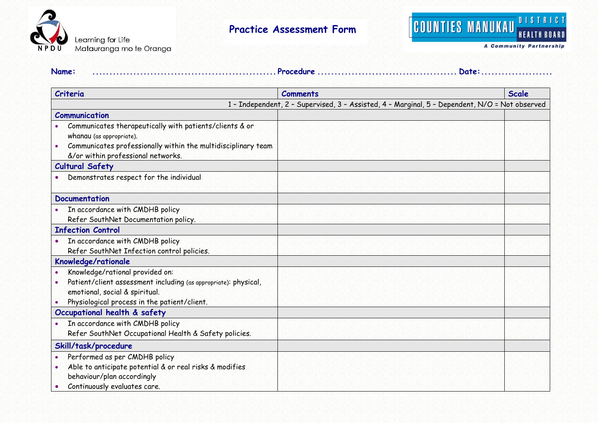



**A Community Partnership** 

| Criteria                                                                                                                                                                                   | <b>Comments</b>                                                                                | <b>Scale</b> |
|--------------------------------------------------------------------------------------------------------------------------------------------------------------------------------------------|------------------------------------------------------------------------------------------------|--------------|
|                                                                                                                                                                                            | 1 - Independent, 2 - Supervised, 3 - Assisted, 4 - Marginal, 5 - Dependent, N/O = Not observed |              |
| Communication                                                                                                                                                                              |                                                                                                |              |
| Communicates therapeutically with patients/clients & or<br>whanau (as appropriate).<br>Communicates professionally within the multidisciplinary team<br>&/or within professional networks. |                                                                                                |              |
| <b>Cultural Safety</b>                                                                                                                                                                     |                                                                                                |              |
| Demonstrates respect for the individual                                                                                                                                                    |                                                                                                |              |
| <b>Documentation</b>                                                                                                                                                                       |                                                                                                |              |
| In accordance with CMDHB policy<br>Refer SouthNet Documentation policy.                                                                                                                    |                                                                                                |              |
| <b>Infection Control</b>                                                                                                                                                                   |                                                                                                |              |
| In accordance with CMDHB policy<br>Refer SouthNet Infection control policies.                                                                                                              |                                                                                                |              |
| Knowledge/rationale                                                                                                                                                                        |                                                                                                |              |
| Knowledge/rational provided on:<br>Patient/client assessment including (as appropriate): physical,<br>emotional, social & spiritual.<br>Physiological process in the patient/client.       |                                                                                                |              |
| Occupational health & safety                                                                                                                                                               |                                                                                                |              |
| In accordance with CMDHB policy<br>$\bullet$<br>Refer SouthNet Occupational Health & Safety policies.                                                                                      |                                                                                                |              |
| Skill/task/procedure                                                                                                                                                                       |                                                                                                |              |
| Performed as per CMDHB policy<br>Able to anticipate potential & or real risks & modifies<br>behaviour/plan accordingly<br>Continuously evaluates care.                                     |                                                                                                |              |